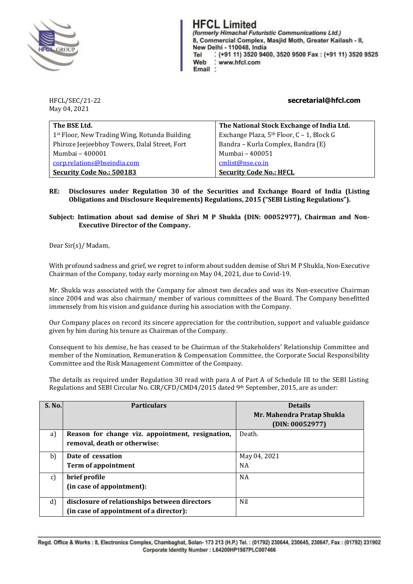

**HFCL Limited** (formerly Himachal Futuristic Communications Ltd.) 8, Commercial Complex, Masjid Moth, Greater Kailash - II, New Delhi - 110048, India : (+91 11) 3520 9400, 3520 9500 Fax: (+91 11) 3520 9525 Tel Web www.hfcl.com Email

May 04, 2021

HFCL/SEC/21-22 **secretarial@hfcl.com**

| The BSE Ltd.                                  | The National Stock Exchange of India Ltd.             |
|-----------------------------------------------|-------------------------------------------------------|
| 1st Floor, New Trading Wing, Rotunda Building | Exchange Plaza, 5 <sup>th</sup> Floor, C - 1, Block G |
| Phiroze Jeejeebhoy Towers, Dalal Street, Fort | Bandra - Kurla Complex, Bandra (E)                    |
| Mumbai - 400001                               | Mumbai - 400051                                       |
| corp.relations@bseindia.com                   | cmlist@nse.co.in                                      |
| Security Code No.: 500183                     | <b>Security Code No.: HFCL</b>                        |

## **RE: Disclosures under Regulation 30 of the Securities and Exchange Board of India (Listing Obligations and Disclosure Requirements) Regulations, 2015 ("SEBI Listing Regulations").**

**Subject: Intimation about sad demise of Shri M P Shukla (DIN: 00052977), Chairman and Non-Executive Director of the Company.**

Dear Sir(s)/ Madam,

With profound sadness and grief, we regret to inform about sudden demise of Shri M P Shukla, Non-Executive Chairman of the Company, today early morning on May 04, 2021, due to Covid-19.

Mr. Shukla was associated with the Company for almost two decades and was its Non-executive Chairman since 2004 and was also chairman/ member of various committees of the Board. The Company benefitted immensely from his vision and guidance during his association with the Company.

Our Company places on record its sincere appreciation for the contribution, support and valuable guidance given by him during his tenure as Chairman of the Company.

Consequent to his demise, he has ceased to be Chairman of the Stakeholders' Relationship Committee and member of the Nomination, Remuneration & Compensation Committee, the Corporate Social Responsibility Committee and the Risk Management Committee of the Company.

The details as required under Regulation 30 read with para A of Part A of Schedule III to the SEBI Listing Regulations and SEBI Circular No. CIR/CFD/CMD4/2015 dated 9th September, 2015, are as under:

| S. No.       | <b>Particulars</b>                               | <b>Details</b><br>Mr. Mahendra Pratap Shukla |
|--------------|--------------------------------------------------|----------------------------------------------|
|              |                                                  | (DIN: 00052977)                              |
| a)           | Reason for change viz. appointment, resignation, | Death.                                       |
|              | removal, death or otherwise:                     |                                              |
| b)           | Date of cessation                                | May 04, 2021                                 |
|              | <b>Term of appointment</b>                       | <b>NA</b>                                    |
| C)           | brief profile                                    | <b>NA</b>                                    |
|              | (in case of appointment):                        |                                              |
| $\mathbf{d}$ | disclosure of relationships between directors    | Nil                                          |
|              | (in case of appointment of a director):          |                                              |